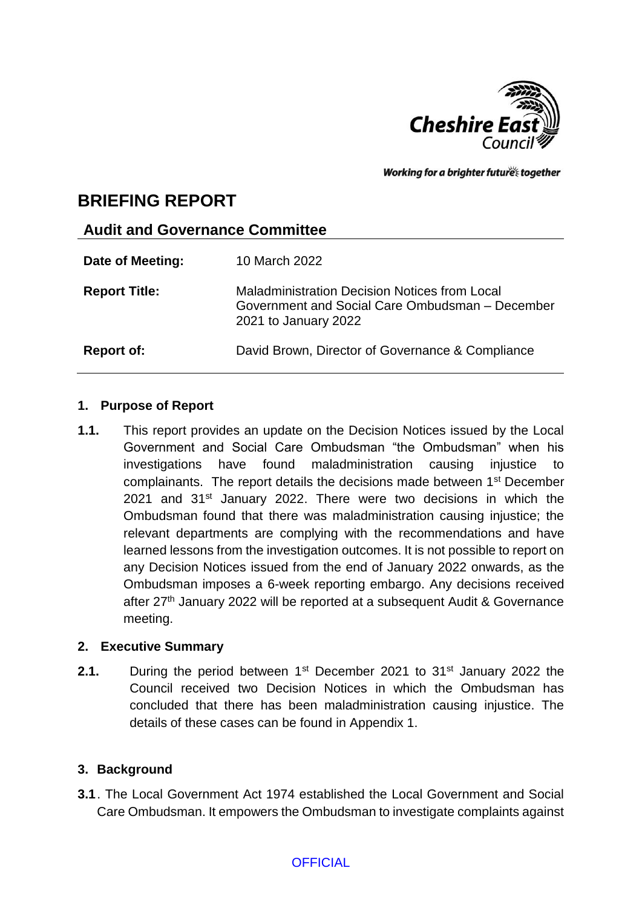

Working for a brighter futures together

# **BRIEFING REPORT**

### **Audit and Governance Committee**

| Date of Meeting:     | 10 March 2022                                                                                                                   |
|----------------------|---------------------------------------------------------------------------------------------------------------------------------|
| <b>Report Title:</b> | <b>Maladministration Decision Notices from Local</b><br>Government and Social Care Ombudsman - December<br>2021 to January 2022 |
| <b>Report of:</b>    | David Brown, Director of Governance & Compliance                                                                                |

### **1. Purpose of Report**

**1.1.** This report provides an update on the Decision Notices issued by the Local Government and Social Care Ombudsman "the Ombudsman" when his investigations have found maladministration causing injustice to complainants. The report details the decisions made between 1st December 2021 and 31<sup>st</sup> January 2022. There were two decisions in which the Ombudsman found that there was maladministration causing injustice; the relevant departments are complying with the recommendations and have learned lessons from the investigation outcomes. It is not possible to report on any Decision Notices issued from the end of January 2022 onwards, as the Ombudsman imposes a 6-week reporting embargo. Any decisions received after 27<sup>th</sup> January 2022 will be reported at a subsequent Audit & Governance meeting.

# **2. Executive Summary**

**2.1.** During the period between 1<sup>st</sup> December 2021 to 31<sup>st</sup> January 2022 the Council received two Decision Notices in which the Ombudsman has concluded that there has been maladministration causing injustice. The details of these cases can be found in Appendix 1.

# **3. Background**

**3.1**. The Local Government Act 1974 established the Local Government and Social Care Ombudsman. It empowers the Ombudsman to investigate complaints against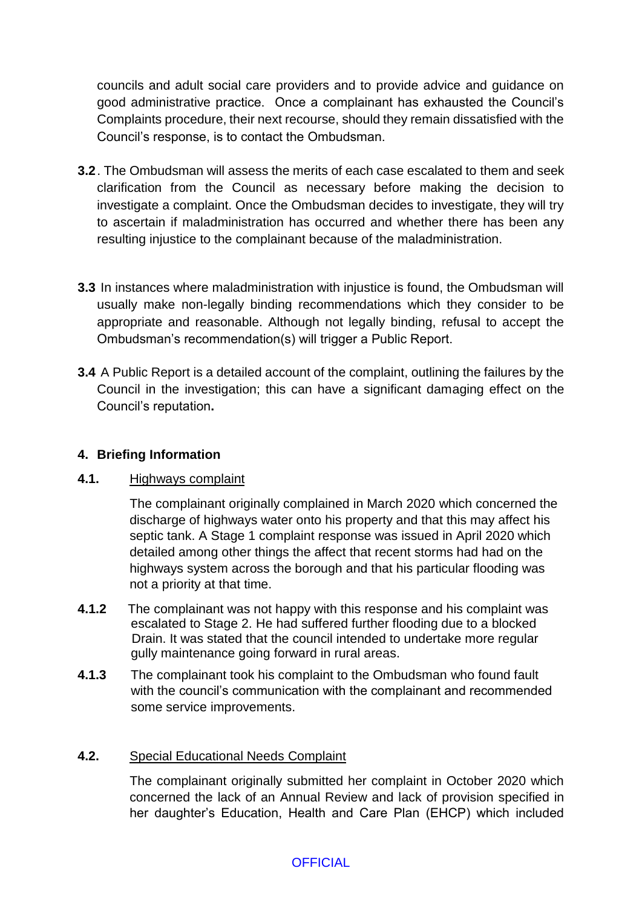councils and adult social care providers and to provide advice and guidance on good administrative practice. Once a complainant has exhausted the Council's Complaints procedure, their next recourse, should they remain dissatisfied with the Council's response, is to contact the Ombudsman.

- **3.2**. The Ombudsman will assess the merits of each case escalated to them and seek clarification from the Council as necessary before making the decision to investigate a complaint. Once the Ombudsman decides to investigate, they will try to ascertain if maladministration has occurred and whether there has been any resulting injustice to the complainant because of the maladministration.
- **3.3** In instances where maladministration with injustice is found, the Ombudsman will usually make non-legally binding recommendations which they consider to be appropriate and reasonable. Although not legally binding, refusal to accept the Ombudsman's recommendation(s) will trigger a Public Report.
- **3.4** A Public Report is a detailed account of the complaint, outlining the failures by the Council in the investigation; this can have a significant damaging effect on the Council's reputation**.**

# **4. Briefing Information**

# **4.1.** Highways complaint

The complainant originally complained in March 2020 which concerned the discharge of highways water onto his property and that this may affect his septic tank. A Stage 1 complaint response was issued in April 2020 which detailed among other things the affect that recent storms had had on the highways system across the borough and that his particular flooding was not a priority at that time.

- **4.1.2** The complainant was not happy with this response and his complaint was escalated to Stage 2. He had suffered further flooding due to a blocked Drain. It was stated that the council intended to undertake more regular gully maintenance going forward in rural areas.
- **4.1.3** The complainant took his complaint to the Ombudsman who found fault with the council's communication with the complainant and recommended some service improvements.

# **4.2.** Special Educational Needs Complaint

The complainant originally submitted her complaint in October 2020 which concerned the lack of an Annual Review and lack of provision specified in her daughter's Education, Health and Care Plan (EHCP) which included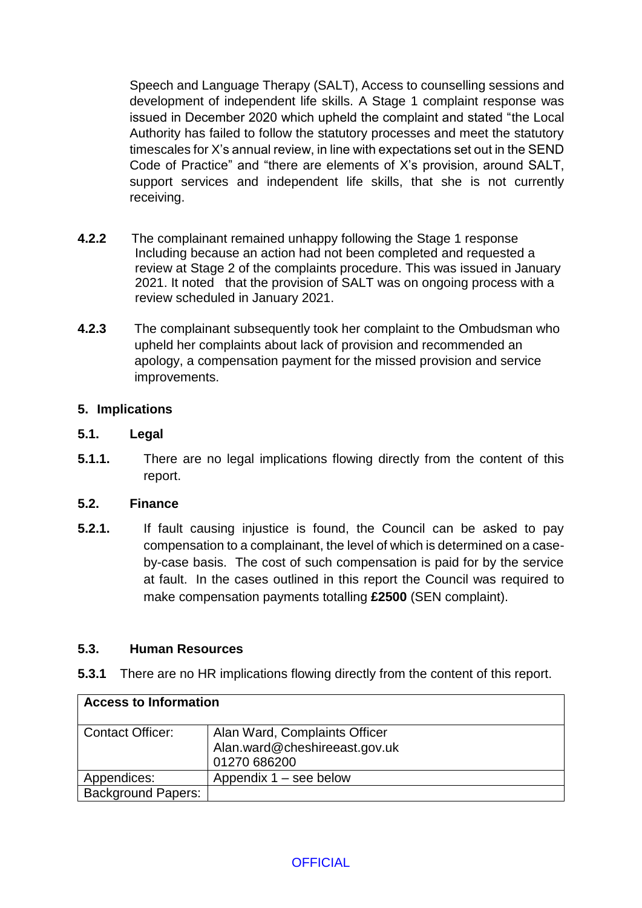Speech and Language Therapy (SALT), Access to counselling sessions and development of independent life skills. A Stage 1 complaint response was issued in December 2020 which upheld the complaint and stated "the Local Authority has failed to follow the statutory processes and meet the statutory timescales for X's annual review, in line with expectations set out in the SEND Code of Practice" and "there are elements of X's provision, around SALT, support services and independent life skills, that she is not currently receiving.

- **4.2.2** The complainant remained unhappy following the Stage 1 response Including because an action had not been completed and requested a review at Stage 2 of the complaints procedure. This was issued in January 2021. It noted that the provision of SALT was on ongoing process with a review scheduled in January 2021.
- **4.2.3** The complainant subsequently took her complaint to the Ombudsman who upheld her complaints about lack of provision and recommended an apology, a compensation payment for the missed provision and service improvements.

### **5. Implications**

#### **5.1. Legal**

**5.1.1.** There are no legal implications flowing directly from the content of this report.

#### **5.2. Finance**

**5.2.1.** If fault causing injustice is found, the Council can be asked to pay compensation to a complainant, the level of which is determined on a caseby-case basis. The cost of such compensation is paid for by the service at fault. In the cases outlined in this report the Council was required to make compensation payments totalling **£2500** (SEN complaint).

#### **5.3. Human Resources**

**5.3.1** There are no HR implications flowing directly from the content of this report.

| <b>Access to Information</b> |                                                                                |  |  |
|------------------------------|--------------------------------------------------------------------------------|--|--|
| <b>Contact Officer:</b>      | Alan Ward, Complaints Officer<br>Alan.ward@cheshireeast.gov.uk<br>01270 686200 |  |  |
| Appendices:                  | Appendix $1 -$ see below                                                       |  |  |
| <b>Background Papers:</b>    |                                                                                |  |  |

#### **OFFICIAL**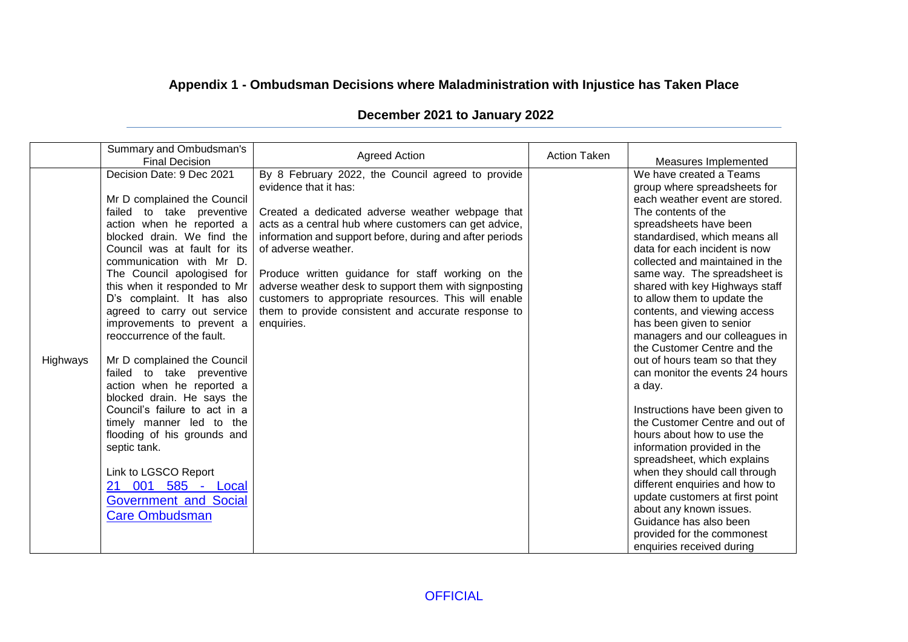# **Appendix 1 - Ombudsman Decisions where Maladministration with Injustice has Taken Place**

| December 2021 to January 2022 |  |  |  |
|-------------------------------|--|--|--|
|-------------------------------|--|--|--|

|          | Summary and Ombudsman's<br><b>Final Decision</b>                                                                                                                                                                                                                                                                                                                                                                                                                                                                                                                                                                                                                                                                                             | <b>Agreed Action</b>                                                                                                                                                                                                                                                                                                                                                                                                                                                                                                  | <b>Action Taken</b> | Measures Implemented                                                                                                                                                                                                                                                                                                                                                                                                                                                                                                                                                                                                                                                                                                                                                                                                                                                                                                                                |
|----------|----------------------------------------------------------------------------------------------------------------------------------------------------------------------------------------------------------------------------------------------------------------------------------------------------------------------------------------------------------------------------------------------------------------------------------------------------------------------------------------------------------------------------------------------------------------------------------------------------------------------------------------------------------------------------------------------------------------------------------------------|-----------------------------------------------------------------------------------------------------------------------------------------------------------------------------------------------------------------------------------------------------------------------------------------------------------------------------------------------------------------------------------------------------------------------------------------------------------------------------------------------------------------------|---------------------|-----------------------------------------------------------------------------------------------------------------------------------------------------------------------------------------------------------------------------------------------------------------------------------------------------------------------------------------------------------------------------------------------------------------------------------------------------------------------------------------------------------------------------------------------------------------------------------------------------------------------------------------------------------------------------------------------------------------------------------------------------------------------------------------------------------------------------------------------------------------------------------------------------------------------------------------------------|
| Highways | Decision Date: 9 Dec 2021<br>Mr D complained the Council<br>failed to take preventive<br>action when he reported a<br>blocked drain. We find the<br>Council was at fault for its<br>communication with Mr D.<br>The Council apologised for<br>this when it responded to Mr<br>D's complaint. It has also<br>agreed to carry out service<br>improvements to prevent a<br>reoccurrence of the fault.<br>Mr D complained the Council<br>failed to take preventive<br>action when he reported a<br>blocked drain. He says the<br>Council's failure to act in a<br>timely manner led to the<br>flooding of his grounds and<br>septic tank.<br>Link to LGSCO Report<br>21 001 585 - Local<br><b>Government and Social</b><br><b>Care Ombudsman</b> | By 8 February 2022, the Council agreed to provide<br>evidence that it has:<br>Created a dedicated adverse weather webpage that<br>acts as a central hub where customers can get advice,<br>information and support before, during and after periods<br>of adverse weather.<br>Produce written guidance for staff working on the<br>adverse weather desk to support them with signposting<br>customers to appropriate resources. This will enable<br>them to provide consistent and accurate response to<br>enquiries. |                     | We have created a Teams<br>group where spreadsheets for<br>each weather event are stored.<br>The contents of the<br>spreadsheets have been<br>standardised, which means all<br>data for each incident is now<br>collected and maintained in the<br>same way. The spreadsheet is<br>shared with key Highways staff<br>to allow them to update the<br>contents, and viewing access<br>has been given to senior<br>managers and our colleagues in<br>the Customer Centre and the<br>out of hours team so that they<br>can monitor the events 24 hours<br>a day.<br>Instructions have been given to<br>the Customer Centre and out of<br>hours about how to use the<br>information provided in the<br>spreadsheet, which explains<br>when they should call through<br>different enquiries and how to<br>update customers at first point<br>about any known issues.<br>Guidance has also been<br>provided for the commonest<br>enquiries received during |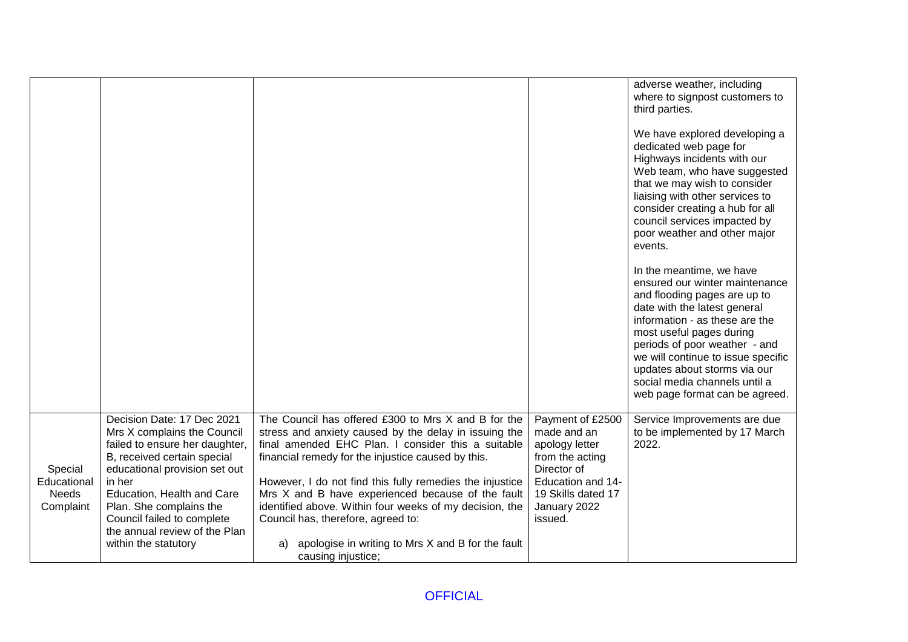|                                                     |                                                                                                                                                                                                                                                                                                                       |                                                                                                                                                                                                                                                                                                                                                                                                                                                                                                                             |                                                                                                                                                           | adverse weather, including<br>where to signpost customers to<br>third parties.<br>We have explored developing a<br>dedicated web page for<br>Highways incidents with our<br>Web team, who have suggested<br>that we may wish to consider<br>liaising with other services to<br>consider creating a hub for all<br>council services impacted by<br>poor weather and other major<br>events.<br>In the meantime, we have<br>ensured our winter maintenance<br>and flooding pages are up to<br>date with the latest general<br>information - as these are the<br>most useful pages during<br>periods of poor weather - and<br>we will continue to issue specific |
|-----------------------------------------------------|-----------------------------------------------------------------------------------------------------------------------------------------------------------------------------------------------------------------------------------------------------------------------------------------------------------------------|-----------------------------------------------------------------------------------------------------------------------------------------------------------------------------------------------------------------------------------------------------------------------------------------------------------------------------------------------------------------------------------------------------------------------------------------------------------------------------------------------------------------------------|-----------------------------------------------------------------------------------------------------------------------------------------------------------|--------------------------------------------------------------------------------------------------------------------------------------------------------------------------------------------------------------------------------------------------------------------------------------------------------------------------------------------------------------------------------------------------------------------------------------------------------------------------------------------------------------------------------------------------------------------------------------------------------------------------------------------------------------|
|                                                     |                                                                                                                                                                                                                                                                                                                       |                                                                                                                                                                                                                                                                                                                                                                                                                                                                                                                             |                                                                                                                                                           | updates about storms via our<br>social media channels until a<br>web page format can be agreed.                                                                                                                                                                                                                                                                                                                                                                                                                                                                                                                                                              |
| Special<br>Educational<br><b>Needs</b><br>Complaint | Decision Date: 17 Dec 2021<br>Mrs X complains the Council<br>failed to ensure her daughter,<br>B, received certain special<br>educational provision set out<br>in her<br>Education, Health and Care<br>Plan. She complains the<br>Council failed to complete<br>the annual review of the Plan<br>within the statutory | The Council has offered £300 to Mrs X and B for the<br>stress and anxiety caused by the delay in issuing the<br>final amended EHC Plan. I consider this a suitable<br>financial remedy for the injustice caused by this.<br>However, I do not find this fully remedies the injustice<br>Mrs X and B have experienced because of the fault<br>identified above. Within four weeks of my decision, the<br>Council has, therefore, agreed to:<br>apologise in writing to Mrs X and B for the fault<br>a)<br>causing injustice; | Payment of £2500<br>made and an<br>apology letter<br>from the acting<br>Director of<br>Education and 14-<br>19 Skills dated 17<br>January 2022<br>issued. | Service Improvements are due<br>to be implemented by 17 March<br>2022.                                                                                                                                                                                                                                                                                                                                                                                                                                                                                                                                                                                       |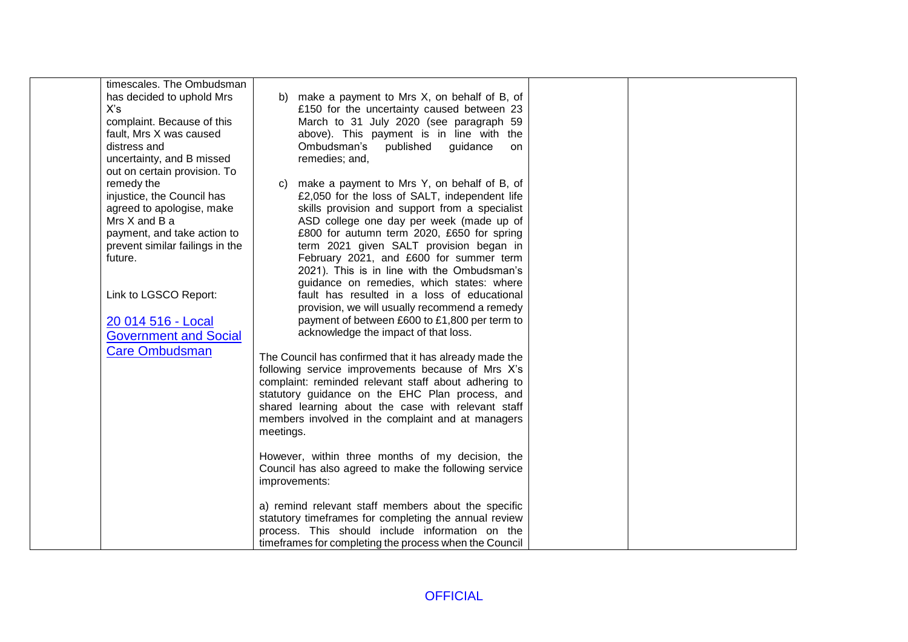| timescales. The Ombudsman                                                                                                                                              |                                                                                                                                                                                                                                                                                                                                                                                     |  |
|------------------------------------------------------------------------------------------------------------------------------------------------------------------------|-------------------------------------------------------------------------------------------------------------------------------------------------------------------------------------------------------------------------------------------------------------------------------------------------------------------------------------------------------------------------------------|--|
| has decided to uphold Mrs<br>X's<br>complaint. Because of this<br>fault, Mrs X was caused<br>distress and<br>uncertainty, and B missed<br>out on certain provision. To | b) make a payment to Mrs X, on behalf of B, of<br>£150 for the uncertainty caused between 23<br>March to 31 July 2020 (see paragraph 59<br>above). This payment is in line with the<br>Ombudsman's<br>published<br>guidance<br>on<br>remedies; and,                                                                                                                                 |  |
| remedy the<br>injustice, the Council has<br>agreed to apologise, make<br>Mrs X and B a<br>payment, and take action to<br>prevent similar failings in the<br>future.    | make a payment to Mrs Y, on behalf of B, of<br>C)<br>£2,050 for the loss of SALT, independent life<br>skills provision and support from a specialist<br>ASD college one day per week (made up of<br>£800 for autumn term 2020, £650 for spring<br>term 2021 given SALT provision began in<br>February 2021, and £600 for summer term<br>2021). This is in line with the Ombudsman's |  |
| Link to LGSCO Report:<br>20 014 516 - Local<br><b>Government and Social</b>                                                                                            | guidance on remedies, which states: where<br>fault has resulted in a loss of educational<br>provision, we will usually recommend a remedy<br>payment of between £600 to £1,800 per term to<br>acknowledge the impact of that loss.                                                                                                                                                  |  |
| <b>Care Ombudsman</b>                                                                                                                                                  | The Council has confirmed that it has already made the<br>following service improvements because of Mrs X's<br>complaint: reminded relevant staff about adhering to<br>statutory guidance on the EHC Plan process, and<br>shared learning about the case with relevant staff<br>members involved in the complaint and at managers<br>meetings.                                      |  |
|                                                                                                                                                                        | However, within three months of my decision, the<br>Council has also agreed to make the following service<br>improvements:                                                                                                                                                                                                                                                          |  |
|                                                                                                                                                                        | a) remind relevant staff members about the specific<br>statutory timeframes for completing the annual review<br>process. This should include information on the<br>timeframes for completing the process when the Council                                                                                                                                                           |  |